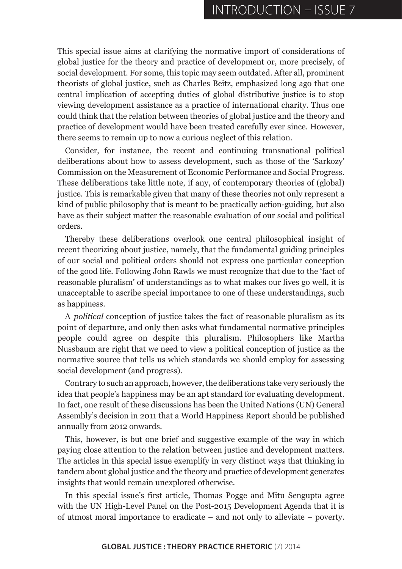This special issue aims at clarifying the normative import of considerations of global justice for the theory and practice of development or, more precisely, of social development. For some, this topic may seem outdated. After all, prominent theorists of global justice, such as Charles Beitz, emphasized long ago that one central implication of accepting duties of global distributive justice is to stop viewing development assistance as a practice of international charity. Thus one could think that the relation between theories of global justice and the theory and practice of development would have been treated carefully ever since. However, there seems to remain up to now a curious neglect of this relation.

Consider, for instance, the recent and continuing transnational political deliberations about how to assess development, such as those of the 'Sarkozy' Commission on the Measurement of Economic Performance and Social Progress. These deliberations take little note, if any, of contemporary theories of (global) justice. This is remarkable given that many of these theories not only represent a kind of public philosophy that is meant to be practically action-guiding, but also have as their subject matter the reasonable evaluation of our social and political orders.

Thereby these deliberations overlook one central philosophical insight of recent theorizing about justice, namely, that the fundamental guiding principles of our social and political orders should not express one particular conception of the good life. Following John Rawls we must recognize that due to the 'fact of reasonable pluralism' of understandings as to what makes our lives go well, it is unacceptable to ascribe special importance to one of these understandings, such as happiness.

A *political* conception of justice takes the fact of reasonable pluralism as its point of departure, and only then asks what fundamental normative principles people could agree on despite this pluralism. Philosophers like Martha Nussbaum are right that we need to view a political conception of justice as the normative source that tells us which standards we should employ for assessing social development (and progress).

Contrary to such an approach, however, the deliberations take very seriously the idea that people's happiness may be an apt standard for evaluating development. In fact, one result of these discussions has been the United Nations (UN) General Assembly's decision in 2011 that a World Happiness Report should be published annually from 2012 onwards.

This, however, is but one brief and suggestive example of the way in which paying close attention to the relation between justice and development matters. The articles in this special issue exemplify in very distinct ways that thinking in tandem about global justice and the theory and practice of development generates insights that would remain unexplored otherwise.

In this special issue's first article, Thomas Pogge and Mitu Sengupta agree with the UN High-Level Panel on the Post-2015 Development Agenda that it is of utmost moral importance to eradicate – and not only to alleviate – poverty.